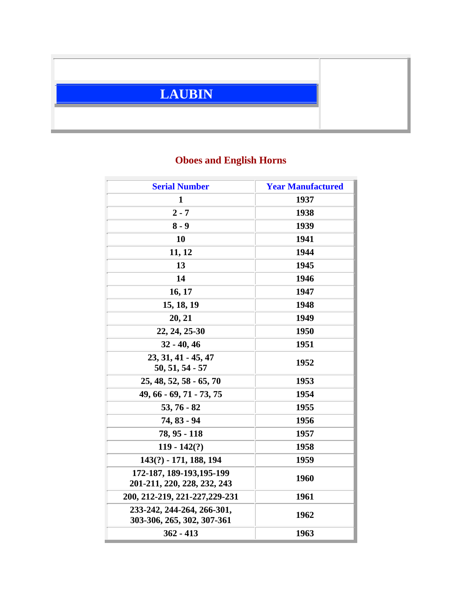

## **Oboes and English Horns**

| <b>Serial Number</b>                                     | <b>Year Manufactured</b> |
|----------------------------------------------------------|--------------------------|
| 1                                                        | 1937                     |
| $2 - 7$                                                  | 1938                     |
| $8 - 9$                                                  | 1939                     |
| 10                                                       | 1941                     |
| 11, 12                                                   | 1944                     |
| 13                                                       | 1945                     |
| 14                                                       | 1946                     |
| 16, 17                                                   | 1947                     |
| 15, 18, 19                                               | 1948                     |
| 20, 21                                                   | 1949                     |
| 22, 24, 25-30                                            | 1950                     |
| $32 - 40, 46$                                            | 1951                     |
| 23, 31, 41 - 45, 47<br>$50, 51, 54 - 57$                 | 1952                     |
| $25, 48, 52, 58 - 65, 70$                                | 1953                     |
| 49, 66 - 69, 71 - 73, 75                                 | 1954                     |
| $53, 76 - 82$                                            | 1955                     |
| 74, 83 - 94                                              | 1956                     |
| 78, 95 - 118                                             | 1957                     |
| $119 - 142(?)$                                           | 1958                     |
| 143(?) - 171, 188, 194                                   | 1959                     |
| 172-187, 189-193, 195-199<br>201-211, 220, 228, 232, 243 | 1960                     |
| 200, 212-219, 221-227, 229-231                           | 1961                     |
| 233-242, 244-264, 266-301,<br>303-306, 265, 302, 307-361 | 1962                     |
| $362 - 413$                                              | 1963                     |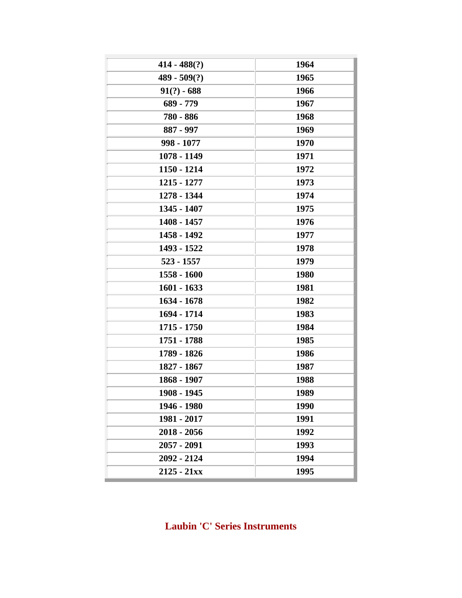| $414 - 488(?)$ | 1964 |
|----------------|------|
| $489 - 509(?)$ | 1965 |
| $91(?) - 688$  | 1966 |
| 689 - 779      | 1967 |
| 780 - 886      | 1968 |
| 887 - 997      | 1969 |
| 998 - 1077     | 1970 |
| 1078 - 1149    | 1971 |
| 1150 - 1214    | 1972 |
| 1215 - 1277    | 1973 |
| 1278 - 1344    | 1974 |
| 1345 - 1407    | 1975 |
| 1408 - 1457    | 1976 |
| 1458 - 1492    | 1977 |
| 1493 - 1522    | 1978 |
| $523 - 1557$   | 1979 |
| 1558 - 1600    | 1980 |
| $1601 - 1633$  | 1981 |
| 1634 - 1678    | 1982 |
| 1694 - 1714    | 1983 |
| 1715 - 1750    | 1984 |
| 1751 - 1788    | 1985 |
| 1789 - 1826    | 1986 |
| 1827 - 1867    | 1987 |
| 1868 - 1907    | 1988 |
| 1908 - 1945    | 1989 |
| 1946 - 1980    | 1990 |
| 1981 - 2017    | 1991 |
| $2018 - 2056$  | 1992 |
| 2057 - 2091    | 1993 |
| 2092 - 2124    | 1994 |
| $2125 - 21xx$  | 1995 |
|                |      |

**Laubin 'C' Series Instruments**